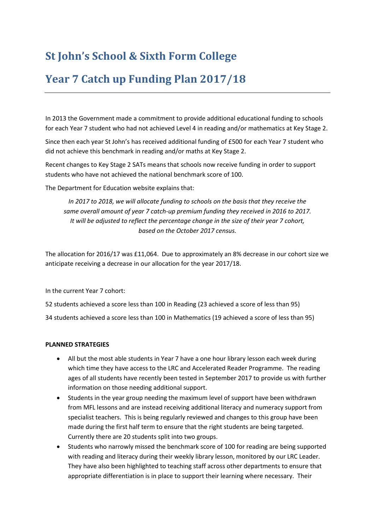## **St John's School & Sixth Form College**

## **Year 7 Catch up Funding Plan 2017/18**

In 2013 the Government made a commitment to provide additional educational funding to schools for each Year 7 student who had not achieved Level 4 in reading and/or mathematics at Key Stage 2.

Since then each year St John's has received additional funding of £500 for each Year 7 student who did not achieve this benchmark in reading and/or maths at Key Stage 2.

Recent changes to Key Stage 2 SATs means that schools now receive funding in order to support students who have not achieved the national benchmark score of 100.

The Department for Education website explains that:

*In 2017 to 2018, we will allocate funding to schools on the basis that they receive the same overall amount of year 7 catch-up premium funding they received in 2016 to 2017. It will be adjusted to reflect the percentage change in the size of their year 7 cohort, based on the October 2017 census.*

The allocation for 2016/17 was £11,064. Due to approximately an 8% decrease in our cohort size we anticipate receiving a decrease in our allocation for the year 2017/18.

In the current Year 7 cohort:

52 students achieved a score less than 100 in Reading (23 achieved a score of less than 95)

34 students achieved a score less than 100 in Mathematics (19 achieved a score of less than 95)

## **PLANNED STRATEGIES**

- All but the most able students in Year 7 have a one hour library lesson each week during which time they have access to the LRC and Accelerated Reader Programme. The reading ages of all students have recently been tested in September 2017 to provide us with further information on those needing additional support.
- Students in the year group needing the maximum level of support have been withdrawn from MFL lessons and are instead receiving additional literacy and numeracy support from specialist teachers. This is being regularly reviewed and changes to this group have been made during the first half term to ensure that the right students are being targeted. Currently there are 20 students split into two groups.
- Students who narrowly missed the benchmark score of 100 for reading are being supported with reading and literacy during their weekly library lesson, monitored by our LRC Leader. They have also been highlighted to teaching staff across other departments to ensure that appropriate differentiation is in place to support their learning where necessary. Their